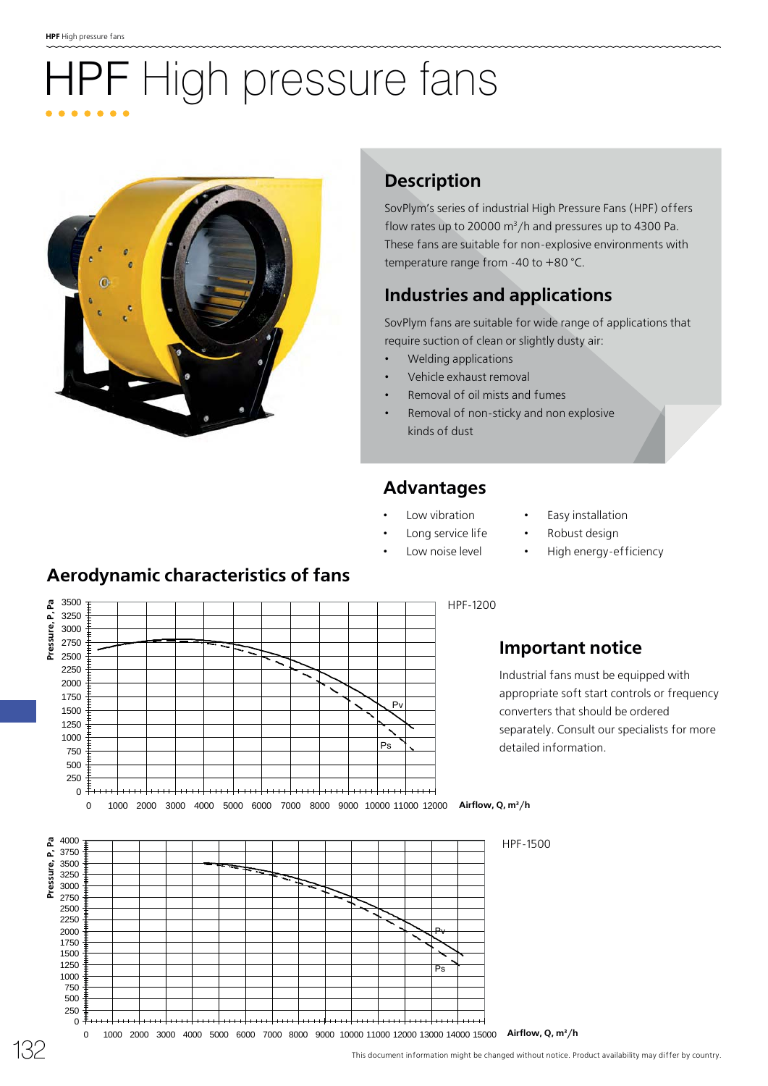# **IPF** High pressure fans



### **Description**

SovPlym's series of industrial High Pressure Fans (HPF) offers flow rates up to 20000  $\text{m}^3/\text{h}$  and pressures up to 4300 Pa. These fans are suitable for non-explosive environments with temperature range from -40 to +80 °C.

# **Industries and applications**

SovPlym fans are suitable for wide range of applications that require suction of clean or slightly dusty air:

- Welding applications
- Vehicle exhaust removal
- Removal of oil mists and fumes
- Removal of non-sticky and non explosive kinds of dust

#### **Advantages**

Long service life

- Low vibration
- Easy installation
- Robust design
- Low noise level
- - High energy-efficiency

### **Aerodynamic characteristics of fans**